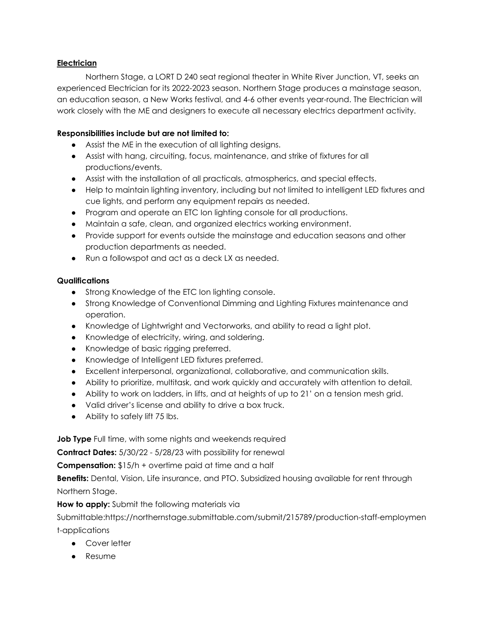## **Electrician**

Northern Stage, a LORT D 240 seat regional theater in White River Junction, VT, seeks an experienced Electrician for its 2022-2023 season. Northern Stage produces a mainstage season, an education season, a New Works festival, and 4-6 other events year-round. The Electrician will work closely with the ME and designers to execute all necessary electrics department activity.

## **Responsibilities include but are not limited to:**

- Assist the ME in the execution of all lighting designs.
- Assist with hang, circuiting, focus, maintenance, and strike of fixtures for all productions/events.
- Assist with the installation of all practicals, atmospherics, and special effects.
- Help to maintain lighting inventory, including but not limited to intelligent LED fixtures and cue lights, and perform any equipment repairs as needed.
- Program and operate an ETC Ion lighting console for all productions.
- Maintain a safe, clean, and organized electrics working environment.
- Provide support for events outside the mainstage and education seasons and other production departments as needed.
- Run a followspot and act as a deck LX as needed.

## **Qualifications**

- Strong Knowledge of the ETC Ion lighting console.
- Strong Knowledge of Conventional Dimming and Lighting Fixtures maintenance and operation.
- Knowledge of Lightwright and Vectorworks, and ability to read a light plot.
- Knowledge of electricity, wiring, and soldering.
- Knowledge of basic rigging preferred.
- Knowledge of Intelligent LED fixtures preferred.
- Excellent interpersonal, organizational, collaborative, and communication skills.
- Ability to prioritize, multitask, and work quickly and accurately with attention to detail.
- Ability to work on ladders, in lifts, and at heights of up to 21' on a tension mesh grid.
- Valid driver's license and ability to drive a box truck.
- Ability to safely lift 75 lbs.

**Job Type** Full time, with some nights and weekends required

**Contract Dates:** 5/30/22 - 5/28/23 with possibility for renewal

**Compensation:** \$15/h + overtime paid at time and a half

**Benefits:** Dental, Vision, Life insurance, and PTO. Subsidized housing available for rent through Northern Stage.

**How to apply:** Submit the following materials via

Submittable:https://northernstage.submittable.com/submit/215789/production-staff-employmen t-applications

- Cover letter
- Resume